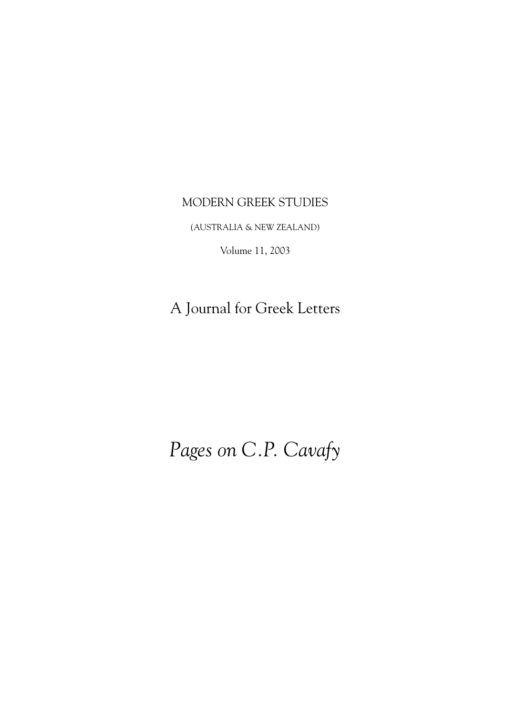# MODERN GREEK STUDIES

(AUSTRALIA & NEW ZEALAND)

Volume 11, 2003

A Journal for Greek Letters

# *Pages on C.P. Cavafy*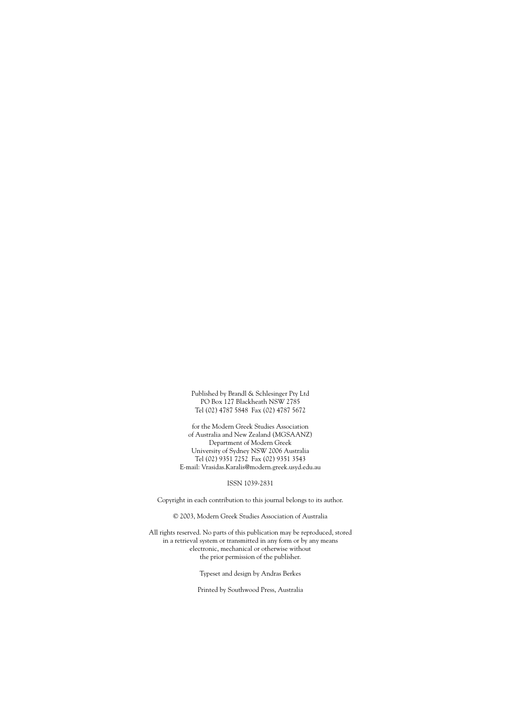Published by Brandl & Schlesinger Pty Ltd PO Box 127 Blackheath NSW 2785 Tel (02) 4787 5848 Fax (02) 4787 5672

for the Modern Greek Studies Association of Australia and New Zealand (MGSAANZ) Department of Modern Greek University of Sydney NSW 2006 Australia Tel (02) 9351 7252 Fax (02) 9351 3543 E-mail: Vrasidas.Karalis@modern.greek.usyd.edu.au

#### ISSN 1039-2831

Copyright in each contribution to this journal belongs to its author.

© 2003, Modern Greek Studies Association of Australia

All rights reserved. No parts of this publication may be reproduced, stored in a retrieval system or transmitted in any form or by any means electronic, mechanical or otherwise without the prior permission of the publisher.

Typeset and design by Andras Berkes

Printed by Southwood Press, Australia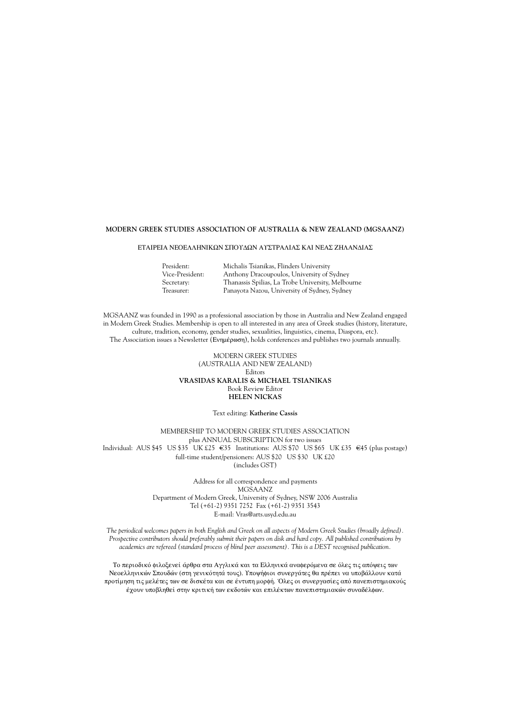#### **MODERN GREEK STUDIES ASSOCIATION OF AUSTRALIA & NEW ZEALAND (MGSAANZ)**

#### ΕΤΑΙΡΕΙΑ ΝΕΟΕΛΛΗΝΙΚΩΝ ΣΠΟΥΔΩΝ ΑΥΣΤΡΑΛΙΑΣ ΚΑΙ ΝΕΑΣ ΖΗΛΑΝΔΙΑΣ

| President:      | Michalis Tsianikas, Flinders University           |
|-----------------|---------------------------------------------------|
| Vice-President: | Anthony Dracoupoulos, University of Sydney        |
| Secretary:      | Thanassis Spilias, La Trobe University, Melbourne |
| Treasurer:      | Panayota Nazou, University of Sydney, Sydney      |

MGSAANZ was founded in 1990 as a professional association by those in Australia and New Zealand engaged in Modern Greek Studies. Membership is open to all interested in any area of Greek studies (history, literature, culture, tradition, economy, gender studies, sexualities, linguistics, cinema, Diaspora, etc). The Association issues a Newsletter (Evnuépoon), holds conferences and publishes two journals annually.

#### MODERN GREEK STUDIES (AUSTRALIA AND NEW ZEALAND) **Editors VRASIDAS KARALIS & MICHAEL TSIANIKAS** Book Review Editor **HELEN NICKAS**

#### Text editing: **Katherine Cassis**

MEMBERSHIP TO MODERN GREEK STUDIES ASSOCIATION plus ANNUAL SUBSCRIPTION for two issues Individual: AUS \$45 US \$35 UK £25  $\in$ 35 Institutions: AUS \$70 US \$65 UK £35  $\in$ 45 (plus postage) full-time student/pensioners: AUS \$20 US \$30 UK £20 (includes GST)

> Address for all correspondence and payments MGSAANZ Department of Modern Greek, University of Sydney, NSW 2006 Australia Tel (+61-2) 9351 7252 Fax (+61-2) 9351 3543 E-mail: Vras@arts.usyd.edu.au

*The periodical welcomes papers in both English and Greek on all aspects of Modern Greek Studies (broadly defined). Prospective contributors should preferably submit their papers on disk and hard copy. All published contributions by academics are refereed (standard process of blind peer assessment). This is a DEST recognised publication.*

To περιοδικό φιλοξενεί άρθρα στα Αγγλικά και τα Ελληνικά αναφερόμενα σε όλες τις απόψεις των Νεοελληνικών Σπουδών (στη γενικότητά τους). Υποψήφιοι συνεργάτες θα πρέπει να υποβάλλουν κατά προτίμηση τις μελέτες των σε δισκέτα και σε έντυπη μορφή. Όλες οι συνεργασίες από πανεπιστημιακούς έχουν υποβληθεί στην κριτική των εκδοτών και επιλέκτων πανεπιστημιακών συναδέλφων.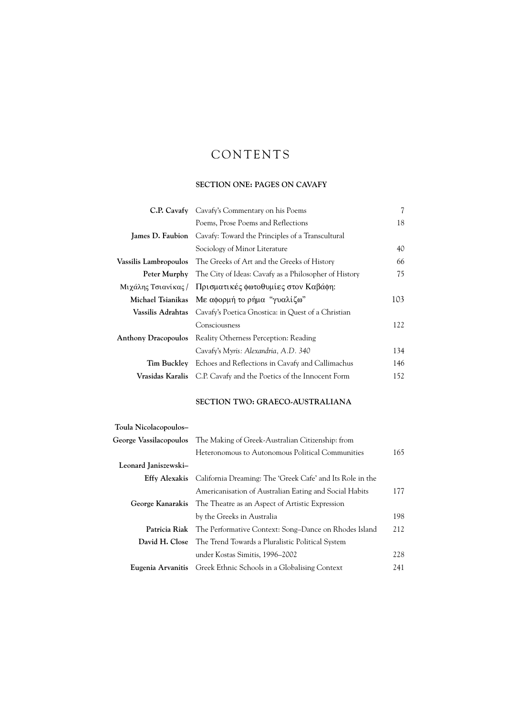# CONTENTS

# **SECTION ONE: PAGES ON CAVAFY**

|                            | <b>C.P. Cavafy</b> Cavafy's Commentary on his Poems                         | 7   |
|----------------------------|-----------------------------------------------------------------------------|-----|
|                            | Poems, Prose Poems and Reflections                                          | 18  |
|                            | <b>James D. Faubion</b> Cavafy: Toward the Principles of a Transcultural    |     |
|                            | Sociology of Minor Literature                                               | 40  |
|                            | <b>Vassilis Lambropoulos</b> The Greeks of Art and the Greeks of History    | 66  |
|                            | Peter Murphy The City of Ideas: Cavafy as a Philosopher of History          | 75  |
|                            | Μιχάλης Τσιανίκας / Πρισματικές φωτοθυμίες στον Καβάφη:                     |     |
|                            | Michael Tsianikas Mε αφορμή το ρήμα "γυαλίζω"                               | 103 |
|                            | <b>Vassilis Adrahtas</b> Cavafy's Poetica Gnostica: in Quest of a Christian |     |
|                            | Consciousness                                                               | 122 |
| <b>Anthony Dracopoulos</b> | Reality Otherness Perception: Reading                                       |     |
|                            | Cavafy's Myris: Alexandria, A.D. 340                                        | 134 |
|                            | Tim Buckley Echoes and Reflections in Cavafy and Callimachus                | 146 |
|                            | <b>Vrasidas Karalis</b> C.P. Cavafy and the Poetics of the Innocent Form    | 152 |

## **SECTION TWO: GRAECO-AUSTRALIANA**

| Toula Nicolacopoulos- |                                                                                |     |
|-----------------------|--------------------------------------------------------------------------------|-----|
|                       | George Vassilacopoulos The Making of Greek-Australian Citizenship: from        |     |
|                       | Heteronomous to Autonomous Political Communities                               | 165 |
| Leonard Janiszewski-  |                                                                                |     |
|                       | <b>Effy Alexakis</b> California Dreaming: The 'Greek Cafe' and Its Role in the |     |
|                       | Americanisation of Australian Eating and Social Habits                         | 177 |
|                       | George Kanarakis The Theatre as an Aspect of Artistic Expression               |     |
|                       | by the Greeks in Australia                                                     | 198 |
|                       | <b>Patricia Riak</b> The Performative Context: Song–Dance on Rhodes Island     | 212 |
|                       | <b>David H. Close</b> The Trend Towards a Pluralistic Political System         |     |
|                       | under Kostas Simitis, 1996–2002                                                | 228 |
|                       | <b>Eugenia Arvanitis</b> Greek Ethnic Schools in a Globalising Context         | 241 |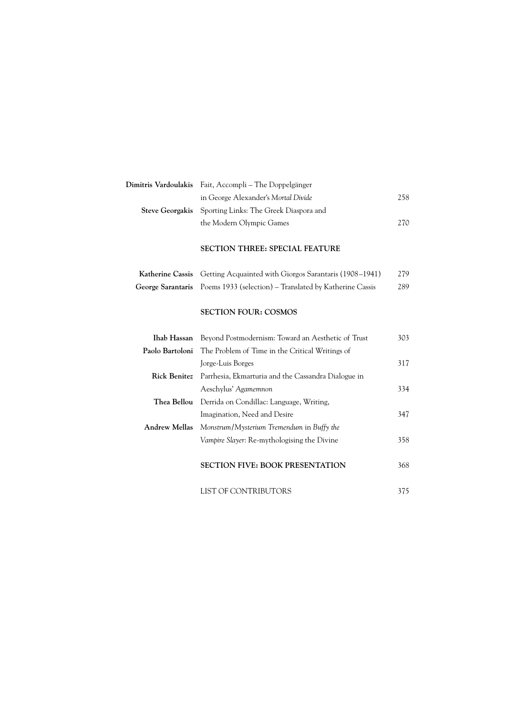| Dimitris Vardoulakis Fait, Accompli – The Doppelgänger        |      |
|---------------------------------------------------------------|------|
| in George Alexander's Mortal Divide                           | 258. |
| <b>Steve Georgakis</b> Sporting Links: The Greek Diaspora and |      |
| the Modern Olympic Games                                      | 270. |

# **SECTION THREE: SPECIAL FEATURE**

| Katherine Cassis Getting Acquainted with Giorgos Sarantaris (1908–1941)   | 279 |
|---------------------------------------------------------------------------|-----|
| George Sarantaris Poems 1933 (selection) – Translated by Katherine Cassis | 289 |

## **SECTION FOUR: COSMOS**

|                      | <b>Ihab Hassan</b> Beyond Postmodernism: Toward an Aesthetic of Trust   | 303 |
|----------------------|-------------------------------------------------------------------------|-----|
|                      | <b>Paolo Bartoloni</b> The Problem of Time in the Critical Writings of  |     |
|                      | Jorge-Luis Borges                                                       | 317 |
|                      | <b>Rick Benitez</b> Parrhesia, Ekmarturia and the Cassandra Dialogue in |     |
|                      | Aeschylus' Agamemnon                                                    | 334 |
|                      | <b>Thea Bellou</b> Derrida on Condillac: Language, Writing,             |     |
|                      | Imagination, Need and Desire                                            | 347 |
| <b>Andrew Mellas</b> | Monstrum/Mysterium Tremendum in Buffy the                               |     |
|                      | Vampire Slayer: Re-mythologising the Divine                             | 358 |
|                      |                                                                         |     |
|                      | <b>SECTION FIVE: BOOK PRESENTATION</b>                                  | 368 |

| LIST OF CONTRIBUTORS |  |
|----------------------|--|
|----------------------|--|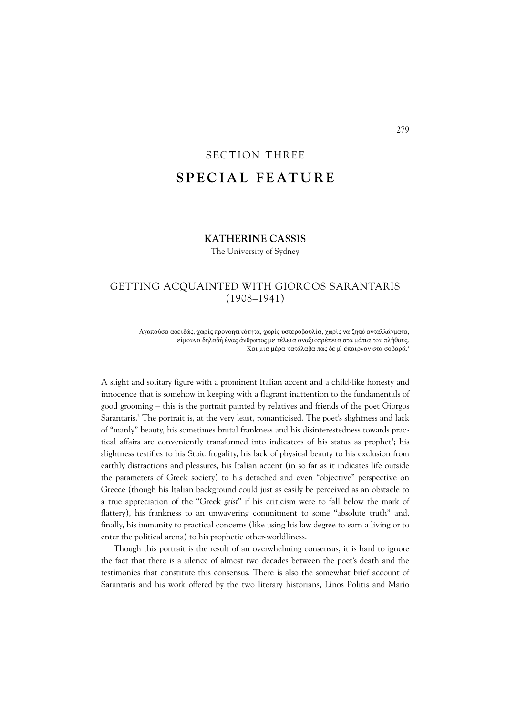# SECTION THREE **SPECIAL FEATURE**

# **KATHERINE CASSIS**

The University of Sydney

# GETTING ACQUAINTED WITH GIORGOS SARANTARIS (1908–1941)

Αγαπούσα αφειδώς, χωρίς προνοητικότητα, χωρίς υστεροβουλία, χωρίς να ζητώ ανταλλάγματα, είμουνα δηλαδή ένας άνθρωπος με τέλεια αναξιοπρέπεια στα μάτια του πλήθους. Kαι μια μέρα κατάλαβα πως δε μ' έπαιρναν στα σοβαρά.<sup>1</sup>

A slight and solitary figure with a prominent Italian accent and a child-like honesty and innocence that is somehow in keeping with a flagrant inattention to the fundamentals of good grooming – this is the portrait painted by relatives and friends of the poet Giorgos Sarantaris.2 The portrait is, at the very least, romanticised. The poet's slightness and lack of "manly" beauty, his sometimes brutal frankness and his disinterestedness towards prac tical affairs are conveniently transformed into indicators of his status as prophet<sup>3</sup>; his slightness testifies to his Stoic frugality, his lack of physical beauty to his exclusion from earthly distractions and pleasures, his Italian accent (in so far as it indicates life outside the parameters of Greek society) to his detached and even "objective" perspective on Greece (though his Italian background could just as easily be perceived as an obstacle to a true appreciation of the "Greek *geist*" if his criticism were to fall below the mark of flattery), his frankness to an unwavering commitment to some "absolute truth" and, finally, his immunity to practical concerns (like using his law degree to earn a living or to enter the political arena) to his prophetic other-worldliness.

Though this portrait is the result of an overwhelming consensus, it is hard to ignore the fact that there is a silence of almost two decades between the poet's death and the testimonies that constitute this consensus. There is also the somewhat brief account of Sarantaris and his work offered by the two literary historians, Linos Politis and Mario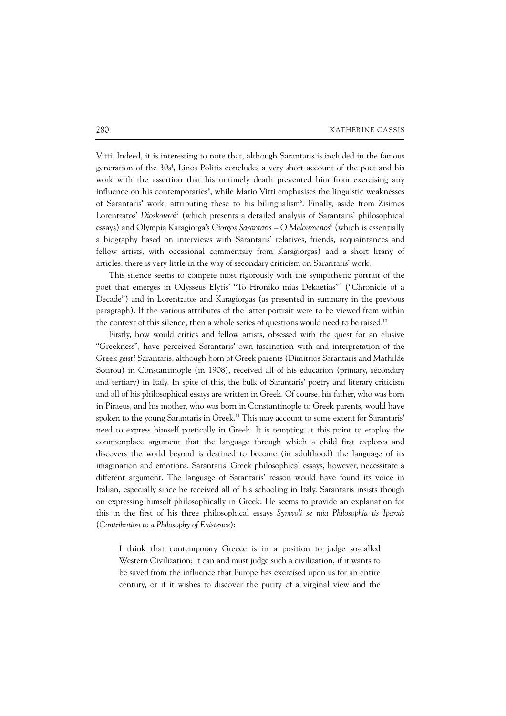Vitti. Indeed, it is interesting to note that, although Sarantaris is included in the famous generation of the 30s<sup>4</sup>, Linos Politis concludes a very short account of the poet and his work with the assertion that his untimely death prevented him from exercising any influence on his contemporaries<sup>5</sup>, while Mario Vitti emphasises the linguistic weaknesses of Sarantaris' work, attributing these to his bilingualism<sup>6</sup>. Finally, aside from Zisimos Lorentzatos' Dioskouroi<sup>7</sup> (which presents a detailed analysis of Sarantaris' philosophical essays) and Olympia Karagiorga's *Giorgos Sarantaris – O Meloumenos*<sup>8</sup> (which is essentially a biography based on interviews with Sarantaris' relatives, friends, acquaintances and fellow artists, with occasional commentary from Karagiorgas) and a short litany of articles, there is very little in the way of secondary criticism on Sarantaris' work.

This silence seems to compete most rigorously with the sympathetic portrait of the poet that emerges in Odysseus Elytis' "To Hroniko mias Dekaetias"<sup>9</sup> ("Chronicle of a Decade") and in Lorentzatos and Karagiorgas (as presented in summary in the previous paragraph). If the various attributes of the latter portrait were to be viewed from within the context of this silence, then a whole series of questions would need to be raised.<sup>10</sup>

Firstly, how would critics and fellow artists, obsessed with the quest for an elusive "Greekness", have perceived Sarantaris' own fascination with and interpretation of the Greek *geist*? Sarantaris, although born of Greek parents (Dimitrios Sarantaris and Mathilde Sotirou) in Constantinople (in 1908), received all of his education (primary, secondary and tertiary) in Italy. In spite of this, the bulk of Sarantaris' poetry and literary criticism and all of his philosophical essays are written in Greek. Of course, his father, who was born in Piraeus, and his mother, who was born in Constantinople to Greek parents, would have spoken to the young Sarantaris in Greek.<sup>11</sup> This may account to some extent for Sarantaris' need to express himself poetically in Greek. It is tempting at this point to employ the commonplace argument that the language through which a child first explores and discovers the world beyond is destined to become (in adulthood) the language of its imagination and emotions. Sarantaris' Greek philosophical essays, however, necessitate a different argument. The language of Sarantaris' reason would have found its voice in Italian, especially since he received all of his schooling in Italy. Sarantaris insists though on expressing himself philosophically in Greek. He seems to provide an explanation for this in the first of his three philosophical essays *Symvoli se mia Philosophia tis Iparxis* (*Contribution to a Philosophy of Existence*):

I think that contemporary Greece is in a position to judge so-called Western Civilization; it can and must judge such a civilization, if it wants to be saved from the influence that Europe has exercised upon us for an entire century, or if it wishes to discover the purity of a virginal view and the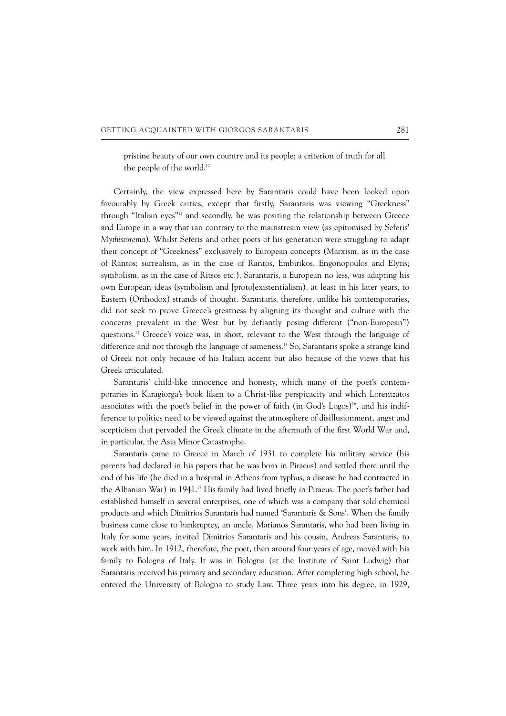pristine beauty of our own country and its people; a criterion of truth for all the people of the world.<sup>12</sup>

Certainly, the view expressed here by Sarantaris could have been looked upon favourably by Greek critics, except that firstly, Sarantaris was viewing "Greekness" through "Italian eyes"13 and secondly, he was positing the relationship between Greece and Europe in a way that ran contrary to the mainstream view (as epitomised by Seferis' *Mythistorema*). Whilst Seferis and other poets of his generation were struggling to adapt their concept of "Greekness" exclusively to European concepts (Marxism, as in the case of Rantos; surrealism, as in the case of Rantos, Embirikos, Engonopoulos and Elytis; symbolism, as in the case of Ritsos etc.), Sarantaris, a European no less, was adapting his own European ideas (symbolism and [proto]existentialism), at least in his later years, to Eastern (Orthodox) strands of thought. Sarantaris, therefore, unlike his contemporaries, did not seek to prove Greece's greatness by aligning its thought and culture with the concerns prevalent in the West but by defiantly posing different ("non-European") questions.14 Greece's voice was, in short, relevant to the West through the language of difference and not through the language of sameness.15 So, Sarantaris spoke a strange kind of Greek not only because of his Italian accent but also because of the views that his Greek articulated.

Sarantaris' child-like innocence and honesty, which many of the poet's contemporaries in Karagiorga's book liken to a Christ-like perspicacity and which Lorentzatos associates with the poet's belief in the power of faith (in God's Logos)<sup>16</sup>, and his indifference to politics need to be viewed against the atmosphere of disillusionment, angst and scepticism that pervaded the Greek climate in the aftermath of the first World War and, in particular, the Asia Minor Catastrophe.

Sarantaris came to Greece in March of 1931 to complete his military service (his parents had declared in his papers that he was born in Piraeus) and settled there until the end of his life (he died in a hospital in Athens from typhus, a disease he had contracted in the Albanian War) in 1941.17 His family had lived briefly in Piraeus. The poet's father had established himself in several enterprises, one of which was a company that sold chemical products and which Dimitrios Sarantaris had named 'Sarantaris & Sons'. When the family business came close to bankruptcy, an uncle, Marianos Sarantaris, who had been living in Italy for some years, invited Dimitrios Sarantaris and his cousin, Andreas Sarantaris, to work with him. In 1912, therefore, the poet, then around four years of age, moved with his family to Bologna of Italy. It was in Bologna (at the Institute of Saint Ludwig) that Sarantaris received his primary and secondary education. After completing high school, he entered the University of Bologna to study Law. Three years into his degree, in 1929,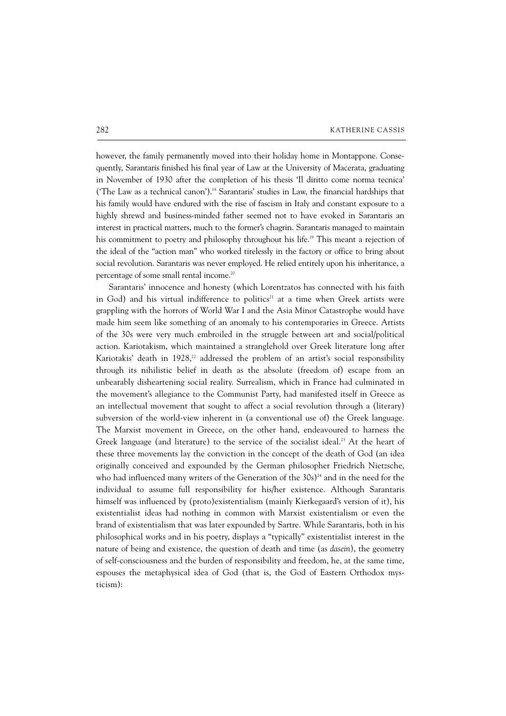however, the family permanently moved into their holiday home in Montappone. Consequently, Sarantaris finished his final year of Law at the University of Macerata, graduating in November of 1930 after the completion of his thesis 'Il diritto come norma tecnica' ('The Law as a technical canon').18 Sarantaris' studies in Law, the financial hardships that his family would have endured with the rise of fascism in Italy and constant exposure to a highly shrewd and business-minded father seemed not to have evoked in Sarantaris an interest in practical matters, much to the former's chagrin. Sarantaris managed to maintain his commitment to poetry and philosophy throughout his life.<sup>19</sup> This meant a rejection of the ideal of the "action man" who worked tirelessly in the factory or office to bring about social revolution. Sarantaris was never employed. He relied entirely upon his inheritance, a percentage of some small rental income.20

Sarantaris' innocence and honesty (which Lorentzatos has connected with his faith in God) and his virtual indifference to politics<sup>21</sup> at a time when Greek artists were grappling with the horrors of World War I and the Asia Minor Catastrophe would have made him seem like something of an anomaly to his contemporaries in Greece. Artists of the 30s were very much embroiled in the struggle between art and social/political action. Kariotakism, which maintained a stranglehold over Greek literature long after Kariotakis' death in 1928, $22$  addressed the problem of an artist's social responsibility through its nihilistic belief in death as the absolute (freedom of) escape from an unbearably disheartening social reality. Surrealism, which in France had culminated in the movement's allegiance to the Communist Party, had manifested itself in Greece as an intellectual movement that sought to affect a social revolution through a (literary) subversion of the world-view inherent in (a conventional use of) the Greek language. The Marxist movement in Greece, on the other hand, endeavoured to harness the Greek language (and literature) to the service of the socialist ideal.<sup>23</sup> At the heart of these three movements lay the conviction in the concept of the death of God (an idea originally conceived and expounded by the German philosopher Friedrich Nietzsche, who had influenced many writers of the Generation of the  $30s$ <sup>24</sup> and in the need for the individual to assume full responsibility for his/her existence. Although Sarantaris himself was influenced by (proto)existentialism (mainly Kierkegaard's version of it), his existentialist ideas had nothing in common with Marxist existentialism or even the brand of existentialism that was later expounded by Sartre. While Sarantaris, both in his philosophical works and in his poetry, displays a "typically" existentialist interest in the nature of being and existence, the question of death and time (as *dasein*), the geometry of self-consciousness and the burden of responsibility and freedom, he, at the same time, espouses the metaphysical idea of God (that is, the God of Eastern Orthodox mysticism):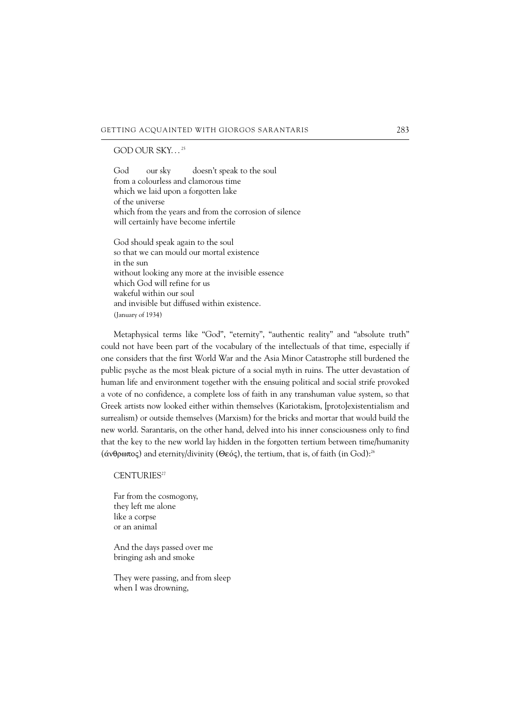#### GOD OUR SKY...<sup>25</sup>

God our sky doesn't speak to the soul from a colourless and clamorous time which we laid upon a forgotten lake of the universe which from the years and from the corrosion of silence will certainly have become infertile

God should speak again to the soul so that we can mould our mortal existence in the sun without looking any more at the invisible essence which God will refine for us wakeful within our soul and invisible but diffused within existence. (January of 1934)

Metaphysical terms like "God", "eternity", "authentic reality" and "absolute truth" could not have been part of the vocabulary of the intellectuals of that time, especially if one considers that the first World War and the Asia Minor Catastrophe still burdened the public psyche as the most bleak picture of a social myth in ruins. The utter devastation of human life and environment together with the ensuing political and social strife provoked a vote of no confidence, a complete loss of faith in any transhuman value system, so that Greek artists now looked either within themselves (Kariotakism, [proto]existentialism and surrealism) or outside themselves (Marxism) for the bricks and mortar that would build the new world. Sarantaris, on the other hand, delved into his inner consciousness only to find that the key to the new world lay hidden in the forgotten tertium between time/humanity  $(\alpha \vee \theta \infty)$  and eternity/divinity ( $\Theta \in \alpha$ ), the tertium, that is, of faith (in God):<sup>26</sup>

#### CENTURIES<sup>27</sup>

Far from the cosmogony, they left me alone like a corpse or an animal

And the days passed over me bringing ash and smoke

They were passing, and from sleep when I was drowning,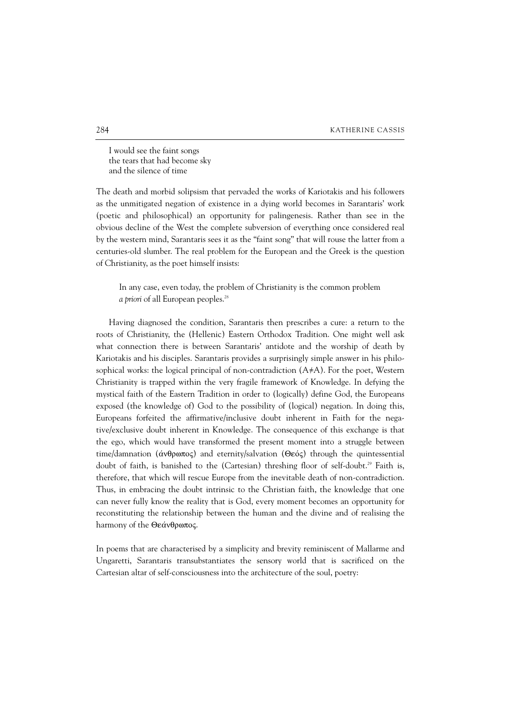I would see the faint songs the tears that had become sky and the silence of time

The death and morbid solipsism that pervaded the works of Kariotakis and his followers as the unmitigated negation of existence in a dying world becomes in Sarantaris' work (poetic and philosophical) an opportunity for palingenesis. Rather than see in the obvious decline of the West the complete subversion of everything once considered real by the western mind, Sarantaris sees it as the "faint song" that will rouse the latter from a centuries-old slumber. The real problem for the European and the Greek is the question of Christianity, as the poet himself insists:

In any case, even today, the problem of Christianity is the common problem *a priori* of all European peoples.<sup>28</sup>

Having diagnosed the condition, Sarantaris then prescribes a cure: a return to the roots of Christianity, the (Hellenic) Eastern Orthodox Tradition. One might well ask what connection there is between Sarantaris' antidote and the worship of death by Kariotakis and his disciples. Sarantaris provides a surprisingly simple answer in his philosophical works: the logical principal of non-contradiction  $(A \neq A)$ . For the poet, Western Christianity is trapped within the very fragile framework of Knowledge. In defying the mystical faith of the Eastern Tradition in order to (logically) define God, the Europeans exposed (the knowledge of) God to the possibility of (logical) negation. In doing this, Europeans forfeited the affirmative/inclusive doubt inherent in Faith for the negative/exclusive doubt inherent in Knowledge. The consequence of this exchange is that the ego, which would have transformed the present moment into a struggle between time/damnation ( $\acute{\alpha}$ νθρωπος) and eternity/salvation (Θεός) through the quintessential doubt of faith, is banished to the (Cartesian) threshing floor of self-doubt.<sup>29</sup> Faith is, therefore, that which will rescue Europe from the inevitable death of non-contradiction. Thus, in embracing the doubt intrinsic to the Christian faith, the knowledge that one can never fully know the reality that is God, every moment becomes an opportunity for reconstituting the relationship between the human and the divine and of realising the harmony of the Θεάνθρωπος.

In poems that are characterised by a simplicity and brevity reminiscent of Mallarme and Ungaretti, Sarantaris transubstantiates the sensory world that is sacrificed on the Cartesian altar of self-consciousness into the architecture of the soul, poetry: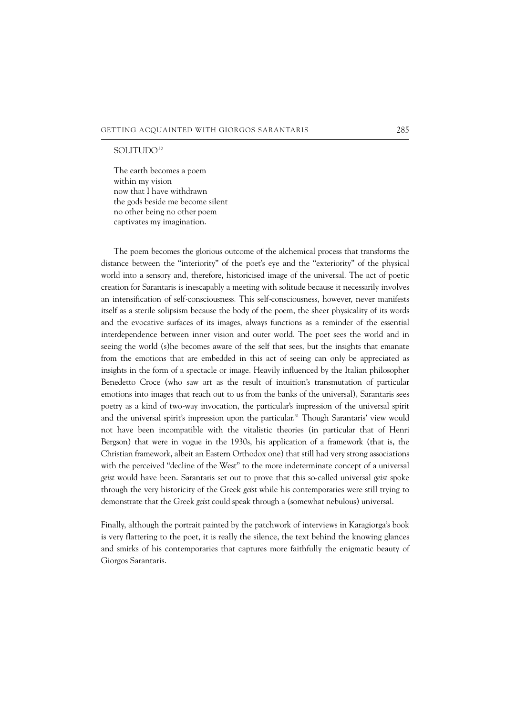#### SOLITUDO<sup>30</sup>

The earth becomes a poem within my vision now that I have withdrawn the gods beside me become silent no other being no other poem captivates my imagination.

The poem becomes the glorious outcome of the alchemical process that transforms the distance between the "interiority" of the poet's eye and the "exteriority" of the physical world into a sensory and, therefore, historicised image of the universal. The act of poetic creation for Sarantaris is inescapably a meeting with solitude because it necessarily involves an intensification of self-consciousness. This self-consciousness, however, never manifests itself as a sterile solipsism because the body of the poem, the sheer physicality of its words and the evocative surfaces of its images, always functions as a reminder of the essential inter dependence between inner vision and outer world. The poet sees the world and in seeing the world (s)he becomes aware of the self that sees, but the insights that emanate from the emotions that are embedded in this act of seeing can only be appreciated as insights in the form of a spectacle or image. Heavily influenced by the Italian philosopher Benedetto Croce (who saw art as the result of intuition's transmutation of particular emotions into images that reach out to us from the banks of the universal), Sarantaris sees poetry as a kind of two-way invocation, the particular's impression of the universal spirit and the universal spirit's impression upon the particular.<sup>31</sup> Though Sarantaris' view would not have been incompatible with the vitalistic theories (in particular that of Henri Bergson) that were in vogue in the 1930s, his application of a framework (that is, the Christian framework, albeit an Eastern Orthodox one) that still had very strong associations with the perceived "decline of the West" to the more indeterminate concept of a universal *geist* would have been. Sarantaris set out to prove that this so-called universal *geist* spoke through the very historicity of the Greek *geist* while his contemporaries were still trying to demonstrate that the Greek *geist* could speak through a (somewhat nebulous) universal.

Finally, although the portrait painted by the patchwork of interviews in Karagiorga's book is very flattering to the poet, it is really the silence, the text behind the knowing glances and smirks of his contemporaries that captures more faithfully the enigmatic beauty of Giorgos Sarantaris.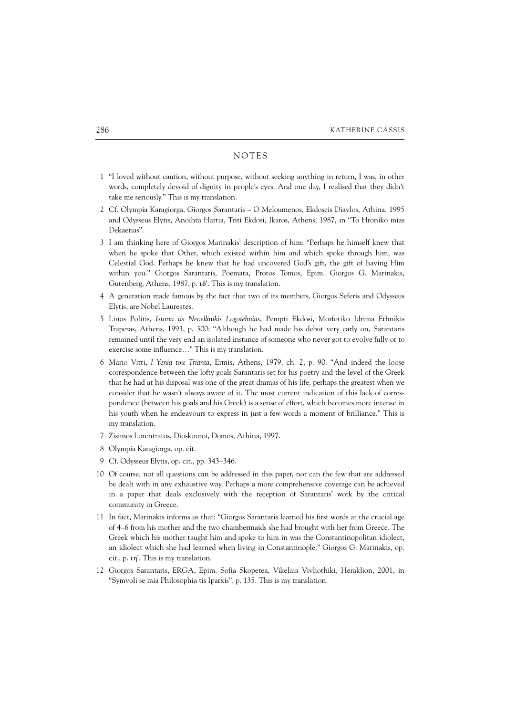## NOTES

- 11 "I loved without caution, without purpose, without seeking anything in return, I was, in other words, completely devoid of dignity in people's eyes. And one day, I realised that they didn't take me seriously." This is my translation.
- 12 Cf. Olympia Karagiorga, Giorgos Sarantaris O Meloumenos, Ekdoseis Diavlos, Athina, 1995 and Odysseus Elytis, Anoihta Hartia, Triti Ekdosi, Ikaros, Athens, 1987, in "To Hroniko mias Dekaetias".
- 13 I am thinking here of Giorgos Marinakis' description of him: "Perhaps he himself knew that when he spoke that Other, which existed within him and which spoke through him, was Celestial God. Perhaps he knew that he had uncovered God's gift, the gift of having Him within you." Giorgos Sarantaris, Poemata, Protos Tomos, Epim. Giorgos G. Marinakis, Gutenberg, Athens, 1987, p. 18'. This is my translation.
- 14 A generation made famous by the fact that two of its members, Giorgos Seferis and Odysseus Elytis, are Nobel Laureates.
- 15 Linos Politis, *Istoria tis Neoellinikis Logotehnias*, Pempti Ekdosi, Morfotiko Idrima Ethnikis Trapezas, Athens, 1993, p. 300: "Although he had made his debut very early on, Sarantaris remained until the very end an isolated instance of someone who never got to evolve fully or to exercise some influence…" This is my translation.
- 16 Mario Vitti, *I Yenia tou Trianta*, Ermis, Athens, 1979, ch. 2, p. 90: "And indeed the loose correspondence between the lofty goals Sarantaris set for his poetry and the level of the Greek that he had at his disposal was one of the great dramas of his life, perhaps the greatest when we consider that he wasn't always aware of it. The most current indication of this lack of corres pondence (between his goals and his Greek) is a sense of effort, which becomes more intense in his youth when he endeavours to express in just a few words a moment of brilliance." This is my translation.
- 17 Zisimos Lorentzatos, Dioskouroi, Domos, Athina, 1997.
- 18 Olympia Karagiorga, op. cit.
- 19 Cf. Odysseus Elytis, op. cit., pp. 343–346.
- 10 Of course, not all questions can be addressed in this paper, nor can the few that are addressed be dealt with in any exhaustive way. Perhaps a more comprehensive coverage can be achieved in a paper that deals exclusively with the reception of Sarantaris' work by the critical community in Greece.
- 11 In fact, Marinakis informs us that: "Giorgos Sarantaris learned his first words at the crucial age of 4–6 from his mother and the two chambermaids she had brought with her from Greece. The Greek which his mother taught him and spoke to him in was the Constantinopolitan idiolect, an idiolect which she had learned when living in Constantinople." Giorgos G. Marinakis, op. cit., p. ih'. This is my translation.
- 12 Giorgos Sarantaris, ERGA, Epim. Sofia Skopetea, Vikelaia Vivliothiki, Heraklion, 2001, in "Symvoli se mia Philosophia tis Iparxis", p. 135. This is my translation.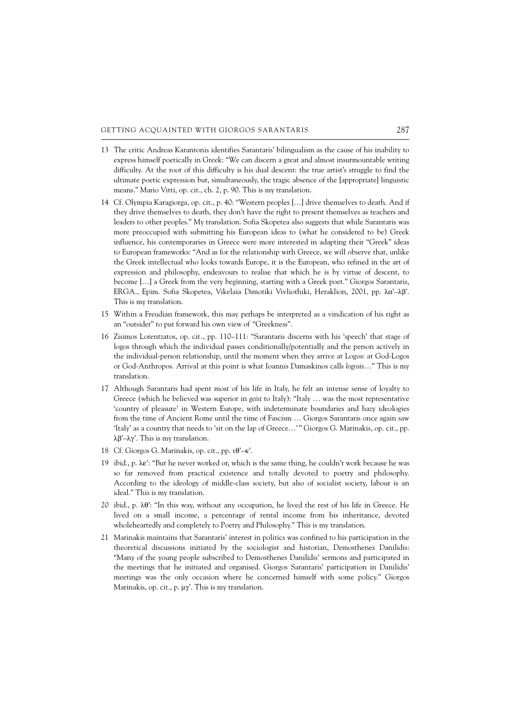- 13 The critic Andreas Karantonis identifies Sarantaris' bilingualism as the cause of his inability to express himself poetically in Greek: "We can discern a great and almost insurmountable writing difficulty. At the root of this difficulty is his dual descent: the true artist's struggle to find the ultimate poetic expression but, simultaneously, the tragic absence of the [appropriate] linguistic means." Mario Vitti, op. cit., ch. 2, p. 90. This is my translation.
- 14 Cf. Olympia Karagiorga, op. cit., p. 40: "Western peoples […] drive themselves to death. And if they drive themselves to death, they don't have the right to present themselves as teachers and leaders to other peoples." My translation. Sofia Skopetea also suggests that while Sarantaris was more preoccupied with submitting his European ideas to (what he considered to be) Greek influence, his contemporaries in Greece were more interested in adapting their "Greek" ideas to European frameworks: "And as for the relationship with Greece, we will observe that, unlike the Greek intellectual who looks towards Europe, it is the European, who refined in the art of expression and philosophy, endeavours to realise that which he is by virtue of descent, to become […] a Greek from the very beginning, starting with a Greek poet." Giorgos Sarantaris, ERGA., Epim. Sofia Skopetea, Vikelaia Dimotiki Vivliothiki, Heraklion, 2001, pp.  $\lambda \alpha' - \lambda \beta'$ . This is my translation.
- 15 Within a Freudian framework, this may perhaps be interpreted as a vindication of his right as an "outsider" to put forward his own view of "Greekness".
- 16 Zisimos Lorentzatos, op. cit*.*, pp. 110–111: "Sarantaris discerns with his 'speech' that stage of logos through which the individual passes conditionally/potentially and the person actively in the individual-person relationship, until the moment when they arrive at Logos: at God-Logos or God-Anthropos. Arrival at this point is what Ioannis Damaskinos calls *logosis*…" This is my translation.
- 17 Although Sarantaris had spent most of his life in Italy, he felt an intense sense of loyalty to Greece (which he believed was superior in *geist* to Italy): "Italy … was the most representative 'country of pleasure' in Western Europe, with indeterminate boundaries and hazy ideologies from the time of Ancient Rome until the time of Fascism … Giorgos Sarantaris once again saw 'Italy' as a country that needs to 'sit on the lap of Greece…' " Giorgos G. Marinakis, op. cit., pp.  $\lambda \beta'$ – $\lambda \gamma'$ . This is my translation.
- 18 Cf. Giorgos G. Marinakis, op. cit., pp.  $\iota\theta'$ – $\kappa'$ .
- 19 ibid., p.  $\lambda \varepsilon'$ : "But he never worked or, which is the same thing, he couldn't work because he was so far removed from practical existence and totally devoted to poetry and philosophy. According to the ideology of middle-class society, but also of socialist society, labour is an ideal." This is my translation.
- 20 ibid., p.  $\lambda \theta$ : "In this way, without any occupation, he lived the rest of his life in Greece. He lived on a small income, a percentage of rental income from his inheritance, devoted wholeheartedly and completely to Poetry and Philosophy." This is my translation.
- 21 Marinakis maintains that Sarantaris' interest in politics was confined to his participation in the theoretical discussions initiated by the sociologist and historian, Demosthenes Danilidis: "Many of the young people subscribed to Demosthenes Danilidis' sermons and participated in the meetings that he initiated and organised. Giorgos Sarantaris' participation in Danilidis' meetings was the only occasion where he concerned himself with some policy." Giorgos Marinakis, op. cit., p.  $\mu\gamma'$ . This is my translation.